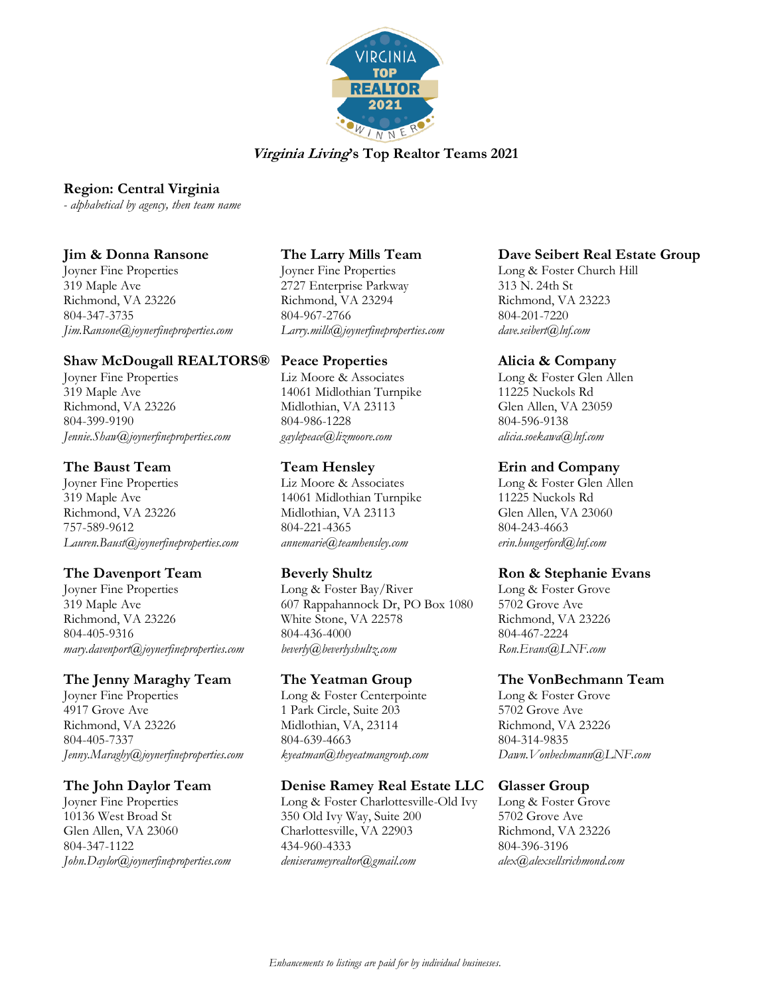

### **Region: Central Virginia**

*- alphabetical by agency, then team name*

### **Jim & Donna Ransone**

Joyner Fine Properties 319 Maple Ave Richmond, VA 23226 804-347-3735 *Jim.Ransone@joynerfineproperties.com*

## **Shaw McDougall REALTORS®**

Joyner Fine Properties 319 Maple Ave Richmond, VA 23226 804-399-9190 *Jennie.Shaw@joynerfineproperties.com*

# **The Baust Team**

Joyner Fine Properties 319 Maple Ave Richmond, VA 23226 757-589-9612 *Lauren.Baust@joynerfineproperties.com*

# **The Davenport Team**

Joyner Fine Properties 319 Maple Ave Richmond, VA 23226 804-405-9316 *mary.davenport@joynerfineproperties.com*

## **The Jenny Maraghy Team**

Joyner Fine Properties 4917 Grove Ave Richmond, VA 23226 804-405-7337 *Jenny.Maraghy@joynerfineproperties.com*

## **The John Daylor Team**

Joyner Fine Properties 10136 West Broad St Glen Allen, VA 23060 804-347-1122 *John.Daylor@joynerfineproperties.com*

# **The Larry Mills Team**

Joyner Fine Properties 2727 Enterprise Parkway Richmond, VA 23294 804-967-2766 *Larry.mills@joynerfineproperties.com*

# **Peace Properties**

Liz Moore & Associates 14061 Midlothian Turnpike Midlothian, VA 23113 804-986-1228 *gaylepeace@lizmoore.com*

# **Team Hensley**

Liz Moore & Associates 14061 Midlothian Turnpike Midlothian, VA 23113 804-221-4365 *annemarie@teamhensley.com*

## **Beverly Shultz**

Long & Foster Bay/River 607 Rappahannock Dr, PO Box 1080 White Stone, VA 22578 804-436-4000 *beverly@beverlyshultz.com*

## **The Yeatman Group**

Long & Foster Centerpointe 1 Park Circle, Suite 203 Midlothian, VA, 23114 804-639-4663 *kyeatman@theyeatmangroup.com*

#### **Denise Ramey Real Estate LLC**

Long & Foster Charlottesville-Old Ivy 350 Old Ivy Way, Suite 200 Charlottesville, VA 22903 434-960-4333 *deniserameyrealtor@gmail.com*

## **Dave Seibert Real Estate Group**

Long & Foster Church Hill 313 N. 24th St Richmond, VA 23223 804-201-7220 *dave.seibert@lnf.com* 

### **Alicia & Company**

Long & Foster Glen Allen 11225 Nuckols Rd Glen Allen, VA 23059 804-596-9138 *alicia.soekawa@lnf.com*

# **Erin and Company**

Long & Foster Glen Allen 11225 Nuckols Rd Glen Allen, VA 23060 804-243-4663 *erin.hungerford@lnf.com*

## **Ron & Stephanie Evans**

Long & Foster Grove 5702 Grove Ave Richmond, VA 23226 804-467-2224 *Ron.Evans@LNF.com*

# **The VonBechmann Team**

Long & Foster Grove 5702 Grove Ave Richmond, VA 23226 804-314-9835 *Dawn.Vonbechmann@LNF.com*

## **Glasser Group**

Long & Foster Grove 5702 Grove Ave Richmond, VA 23226 804-396-3196 *alex@alexsellsrichmond.com*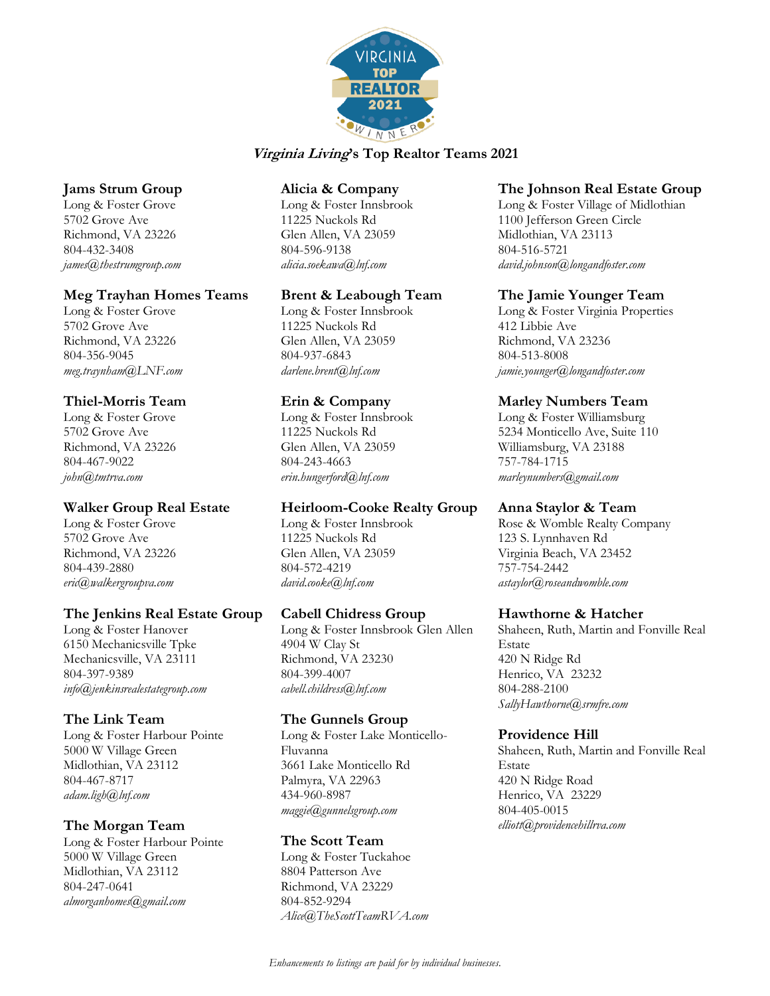

## **Jams Strum Group**

Long & Foster Grove 5702 Grove Ave Richmond, VA 23226 804-432-3408 *james@thestrumgroup.com*

### **Meg Trayhan Homes Teams**

Long & Foster Grove 5702 Grove Ave Richmond, VA 23226 804-356-9045 *meg.traynham@LNF.com*

# **Thiel-Morris Team**

Long & Foster Grove 5702 Grove Ave Richmond, VA 23226 804-467-9022 *john@tmtrva.com*

# **Walker Group Real Estate**

Long & Foster Grove 5702 Grove Ave Richmond, VA 23226 804-439-2880 *eric@walkergroupva.com*

# **The Jenkins Real Estate Group**

Long & Foster Hanover 6150 Mechanicsville Tpke Mechanicsville, VA 23111 804-397-9389 *info@jenkinsrealestategroup.com*

# **The Link Team**

Long & Foster Harbour Pointe 5000 W Village Green Midlothian, VA 23112 804-467-8717 *adam.ligh@lnf.com*

# **The Morgan Team**

Long & Foster Harbour Pointe 5000 W Village Green Midlothian, VA 23112 804-247-0641 *almorganhomes@gmail.com*

### **Alicia & Company**

Long & Foster Innsbrook 11225 Nuckols Rd Glen Allen, VA 23059 804-596-9138 *alicia.soekawa@lnf.com*

# **Brent & Leabough Team**

Long & Foster Innsbrook 11225 Nuckols Rd Glen Allen, VA 23059 804-937-6843 *darlene.brent@lnf.com*

# **Erin & Company**

Long & Foster Innsbrook 11225 Nuckols Rd Glen Allen, VA 23059 804-243-4663 *erin.hungerford@lnf.com*

## **Heirloom-Cooke Realty Group**

Long & Foster Innsbrook 11225 Nuckols Rd Glen Allen, VA 23059 804-572-4219 *david.cooke@lnf.com*

## **Cabell Chidress Group**

Long & Foster Innsbrook Glen Allen 4904 W Clay St Richmond, VA 23230 804-399-4007 *cabell.childress@lnf.com*

## **The Gunnels Group**

Long & Foster Lake Monticello-Fluvanna 3661 Lake Monticello Rd Palmyra, VA 22963 434-960-8987 *maggie@gunnelsgroup.com*

## **The Scott Team**

Long & Foster Tuckahoe 8804 Patterson Ave Richmond, VA 23229 804-852-9294 *Alice@TheScottTeamRVA.com*

### **The Johnson Real Estate Group**

Long & Foster Village of Midlothian 1100 Jefferson Green Circle Midlothian, VA 23113 804-516-5721 *david.johnson@longandfoster.com*

## **The Jamie Younger Team**

Long & Foster Virginia Properties 412 Libbie Ave Richmond, VA 23236 804-513-8008 *jamie.younger@longandfoster.com*

# **Marley Numbers Team**

Long & Foster Williamsburg 5234 Monticello Ave, Suite 110 Williamsburg, VA 23188 757-784-1715 *marleynumbers@gmail.com*

## **Anna Staylor & Team**

Rose & Womble Realty Company 123 S. Lynnhaven Rd Virginia Beach, VA 23452 757-754-2442 *astaylor@roseandwomble.com*

## **Hawthorne & Hatcher**

Shaheen, Ruth, Martin and Fonville Real Estate 420 N Ridge Rd Henrico, VA 23232 804-288-2100 *SallyHawthorne@srmfre.com*

## **Providence Hill**

Shaheen, Ruth, Martin and Fonville Real Estate 420 N Ridge Road Henrico, VA 23229 804-405-0015 *elliott@providencehillrva.com*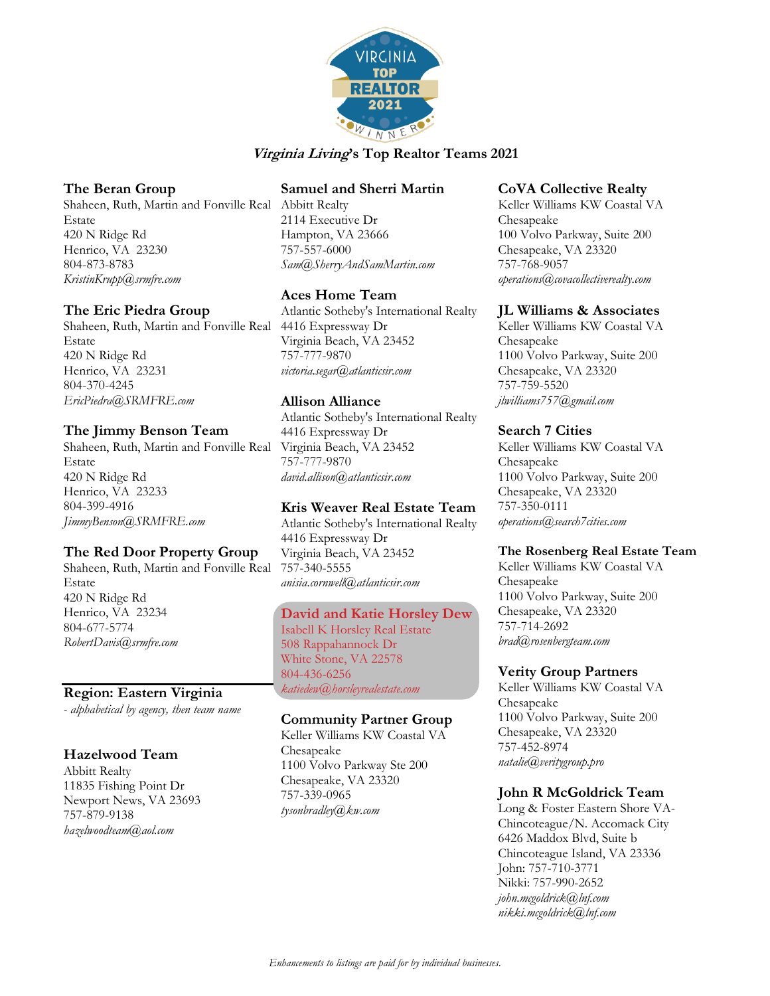

### **The Beran Group**

Shaheen, Ruth, Martin and Fonville Real Abbitt Realty Estate 420 N Ridge Rd Henrico, VA 23230 804-873-8783 *KristinKrupp@srmfre.com*

### **The Eric Piedra Group**

Shaheen, Ruth, Martin and Fonville Real Estate 420 N Ridge Rd Henrico, VA 23231 804-370-4245 *EricPiedra@SRMFRE.com*

### **The Jimmy Benson Team**

Shaheen, Ruth, Martin and Fonville Real Estate 420 N Ridge Rd Henrico, VA 23233 804-399-4916 *JimmyBenson@SRMFRE.com*

## **The Red Door Property Group**

Shaheen, Ruth, Martin and Fonville Real Estate 420 N Ridge Rd Henrico, VA 23234 804-677-5774 *[RobertDavis@srmfre.com](mailto:RobertDavis@srmfre.com)*

## **Region: Eastern Virginia**

*- alphabetical by agency, then team name*

#### **Hazelwood Team**

Abbitt Realty 11835 Fishing Point Dr Newport News, VA 23693 757-879-9138 *hazelwoodteam@aol.com*

## **Samuel and Sherri Martin**

2114 Executive Dr Hampton, VA 23666 757-557-6000 *[Sam@SherryAndSamMartin.com](mailto:Sam@SherryAndSamMartin.com)*

## **Aces Home Team**

Atlantic Sotheby's International Realty 4416 Expressway Dr Virginia Beach, VA 23452 757-777-9870 *victoria.segar@atlanticsir.com*

## **Allison Alliance**

Atlantic Sotheby's International Realty 4416 Expressway Dr Virginia Beach, VA 23452 757-777-9870 *david.allison@atlanticsir.com*

## **Kris Weaver Real Estate Team**

Atlantic Sotheby's International Realty 4416 Expressway Dr Virginia Beach, VA 23452 757-340-5555 *anisia.cornwell@atlanticsir.com*

#### **David and Katie Horsley Dew**

Isabell K Horsley Real Estate 508 Rappahannock Dr White Stone, VA 22578 804-436-6256 *katiedew@horsleyrealestate.com*

### **Community Partner Group**

Keller Williams KW Coastal VA Chesapeake 1100 Volvo Parkway Ste 200 Chesapeake, VA 23320 757-339-0965 *tysonbradley@kw.com*

#### **CoVA Collective Realty**

Keller Williams KW Coastal VA Chesapeake 100 Volvo Parkway, Suite 200 Chesapeake, VA 23320 757-768-9057 *operations@covacollectiverealty.com*

### **JL Williams & Associates**

Keller Williams KW Coastal VA Chesapeake 1100 Volvo Parkway, Suite 200 Chesapeake, VA 23320 757-759-5520 *jlwilliams757@gmail.com*

### **Search 7 Cities**

Keller Williams KW Coastal VA Chesapeake 1100 Volvo Parkway, Suite 200 Chesapeake, VA 23320 757-350-0111 *operations@search7cities.com*

#### **The Rosenberg Real Estate Team**

Keller Williams KW Coastal VA Chesapeake 1100 Volvo Parkway, Suite 200 Chesapeake, VA 23320 757-714-2692 *brad@rosenbergteam.com*

#### **Verity Group Partners**

Keller Williams KW Coastal VA Chesapeake 1100 Volvo Parkway, Suite 200 Chesapeake, VA 23320 757-452-8974 *natalie@veritygroup.pro*

## **John R McGoldrick Team**

Long & Foster Eastern Shore VA-Chincoteague/N. Accomack City 6426 Maddox Blvd, Suite b Chincoteague Island, VA 23336 John: 757-710-3771 Nikki: 757-990-2652 *john.mcgoldrick@lnf.com nikki.mcgoldrick@lnf.com*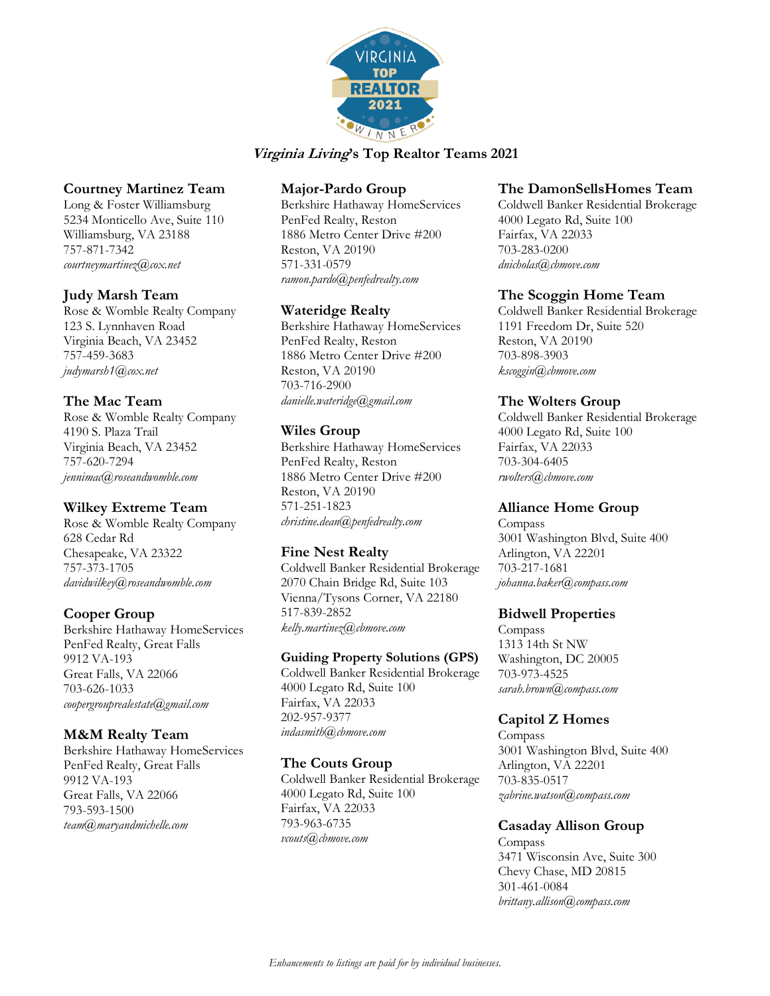

### **Courtney Martinez Team**

Long & Foster Williamsburg 5234 Monticello Ave, Suite 110 Williamsburg, VA 23188 757-871-7342 *courtneymartinez@cox.net*

### **Judy Marsh Team**

Rose & Womble Realty Company 123 S. Lynnhaven Road Virginia Beach, VA 23452 757-459-3683 *judymarsh1@cox.net*

# **The Mac Team**

Rose & Womble Realty Company 4190 S. Plaza Trail Virginia Beach, VA 23452 757-620-7294 *jennimac@roseandwomble.com*

## **Wilkey Extreme Team**

Rose & Womble Realty Company 628 Cedar Rd Chesapeake, VA 23322 757-373-1705 *davidwilkey@roseandwomble.com*

## **Cooper Group**

Berkshire Hathaway HomeServices PenFed Realty, Great Falls 9912 VA-193 Great Falls, VA 22066 703-626-1033 *coopergrouprealestate@gmail.com*

## **M&M Realty Team**

Berkshire Hathaway HomeServices PenFed Realty, Great Falls 9912 VA-193 Great Falls, VA 22066 793-593-1500 *team@maryandmichelle.com*

## **Major-Pardo Group**

Berkshire Hathaway HomeServices PenFed Realty, Reston 1886 Metro Center Drive #200 Reston, VA 20190 571-331-0579 *ramon.pardo@penfedrealty.com*

### **Wateridge Realty**

Berkshire Hathaway HomeServices PenFed Realty, Reston 1886 Metro Center Drive #200 Reston, VA 20190 703-716-2900 *danielle.wateridge@gmail.com*

### **Wiles Group**

Berkshire Hathaway HomeServices PenFed Realty, Reston 1886 Metro Center Drive #200 Reston, VA 20190 571-251-1823 *christine.dean@penfedrealty.com*

## **Fine Nest Realty**

Coldwell Banker Residential Brokerage 2070 Chain Bridge Rd, Suite 103 Vienna/Tysons Corner, VA 22180 517-839-2852 *kelly.martinez@cbmove.com*

### **Guiding Property Solutions (GPS)**

Coldwell Banker Residential Brokerage 4000 Legato Rd, Suite 100 Fairfax, VA 22033 202-957-9377 *indasmith@cbmove.com*

#### **The Couts Group**

Coldwell Banker Residential Brokerage 4000 Legato Rd, Suite 100 Fairfax, VA 22033 793-963-6735 *vcouts@cbmove.com*

### **The DamonSellsHomes Team**

Coldwell Banker Residential Brokerage 4000 Legato Rd, Suite 100 Fairfax, VA 22033 703-283-0200 *dnicholas@cbmove.com*

#### **The Scoggin Home Team**

Coldwell Banker Residential Brokerage 1191 Freedom Dr, Suite 520 Reston, VA 20190 703-898-3903 *kscoggin@cbmove.com*

### **The Wolters Group**

Coldwell Banker Residential Brokerage 4000 Legato Rd, Suite 100 Fairfax, VA 22033 703-304-6405 *rwolters@cbmove.com*

## **Alliance Home Group**

Compass 3001 Washington Blvd, Suite 400 Arlington, VA 22201 703-217-1681 *johanna.baker@compass.com*

#### **Bidwell Properties**

Compass 1313 14th St NW Washington, DC 20005 703-973-4525 *sarah.brown@compass.com*

## **Capitol Z Homes**

Compass 3001 Washington Blvd, Suite 400 Arlington, VA 22201 703-835-0517 *zabrine.watson@compass.com*

## **Casaday Allison Group**

Compass 3471 Wisconsin Ave, Suite 300 Chevy Chase, MD 20815 301-461-0084 *brittany.allison@compass.com*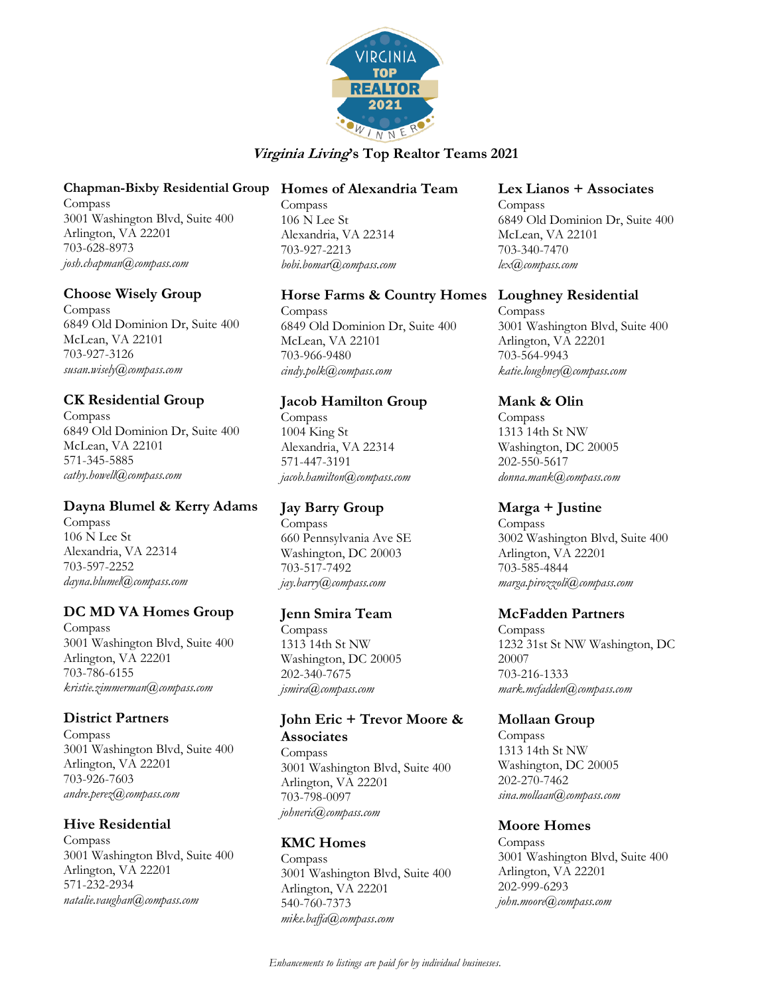

#### **Chapman-Bixby Residential Group**

Compass 3001 Washington Blvd, Suite 400 Arlington, VA 22201 703-628-8973 *josh.chapman@compass.com*

### **Choose Wisely Group**

Compass 6849 Old Dominion Dr, Suite 400 McLean, VA 22101 703-927-3126 *susan.wisely@compass.com*

## **CK Residential Group**

Compass 6849 Old Dominion Dr, Suite 400 McLean, VA 22101 571-345-5885 *cathy.howell@compass.com*

## **Dayna Blumel & Kerry Adams**

Compass 106 N Lee St Alexandria, VA 22314 703-597-2252 *dayna.blumel@compass.com*

## **DC MD VA Homes Group**

Compass 3001 Washington Blvd, Suite 400 Arlington, VA 22201 703-786-6155 *kristie.zimmerman@compass.com*

#### **District Partners**

Compass 3001 Washington Blvd, Suite 400 Arlington, VA 22201 703-926-7603 *andre.perez@compass.com*

## **Hive Residential**

**Compass** 3001 Washington Blvd, Suite 400 Arlington, VA 22201 571-232-2934 *natalie.vaughan@compass.com*

### **Homes of Alexandria Team**

Compass 106 N Lee St Alexandria, VA 22314 703-927-2213 *bobi.bomar@compass.com*

# **Horse Farms & Country Homes**

Compass 6849 Old Dominion Dr, Suite 400 McLean, VA 22101 703-966-9480 *cindy.polk@compass.com*

## **Jacob Hamilton Group**

Compass 1004 King St Alexandria, VA 22314 571-447-3191 *jacob.hamilton@compass.com*

## **Jay Barry Group**

Compass 660 Pennsylvania Ave SE Washington, DC 20003 703-517-7492 *jay.barry@compass.com*

#### **Jenn Smira Team**

Compass 1313 14th St NW Washington, DC 20005 202-340-7675 *jsmira@compass.com*

# **John Eric + Trevor Moore & Associates**

Compass 3001 Washington Blvd, Suite 400 Arlington, VA 22201 703-798-0097 *johneric@compass.com*

## **KMC Homes**

Compass 3001 Washington Blvd, Suite 400 Arlington, VA 22201 540-760-7373 *mike.baffa@compass.com*

### **Lex Lianos + Associates**

Compass 6849 Old Dominion Dr, Suite 400 McLean, VA 22101 703-340-7470 *lex@compass.com*

### **Loughney Residential**

Compass 3001 Washington Blvd, Suite 400 Arlington, VA 22201 703-564-9943 *katie.loughney@compass.com*

## **Mank & Olin**

Compass 1313 14th St NW Washington, DC 20005 202-550-5617 *donna.mank@compass.com*

## **Marga + Justine**

Compass 3002 Washington Blvd, Suite 400 Arlington, VA 22201 703-585-4844 *marga.pirozzoli@compass.com*

#### **McFadden Partners**

Compass 1232 31st St NW Washington, DC 20007 703-216-1333 *mark.mcfadden@compass.com*

## **Mollaan Group**

Compass 1313 14th St NW Washington, DC 20005 202-270-7462 *sina.mollaan@compass.com*

## **Moore Homes**

Compass 3001 Washington Blvd, Suite 400 Arlington, VA 22201 202-999-6293 *john.moore@compass.com*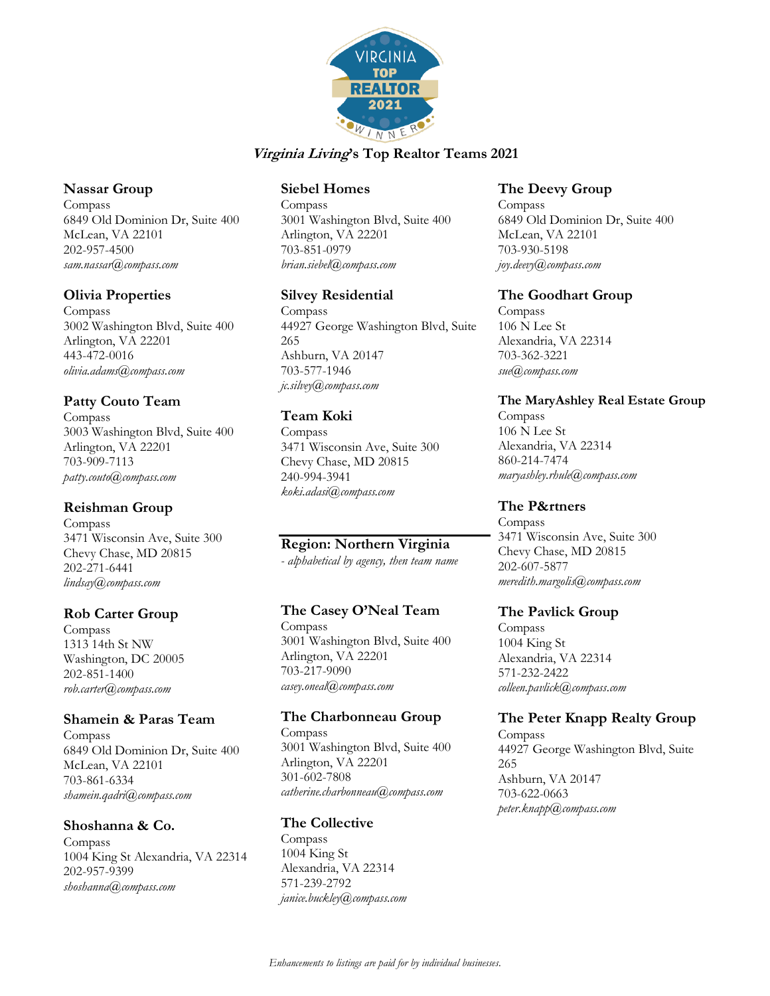

#### **Nassar Group**

Compass 6849 Old Dominion Dr, Suite 400 McLean, VA 22101 202-957-4500 *sam.nassar@compass.com*

### **Olivia Properties**

Compass 3002 Washington Blvd, Suite 400 Arlington, VA 22201 443-472-0016 *olivia.adams@compass.com*

# **Patty Couto Team**

Compass 3003 Washington Blvd, Suite 400 Arlington, VA 22201 703-909-7113 *patty.couto@compass.com*

## **Reishman Group**

Compass 3471 Wisconsin Ave, Suite 300 Chevy Chase, MD 20815 202-271-6441 *lindsay@compass.com*

## **Rob Carter Group**

Compass 1313 14th St NW Washington, DC 20005 202-851-1400 *rob.carter@compass.com*

#### **Shamein & Paras Team**

Compass 6849 Old Dominion Dr, Suite 400 McLean, VA 22101 703-861-6334 *shamein.qadri@compass.com*

#### **Shoshanna & Co.**

Compass 1004 King St Alexandria, VA 22314 202-957-9399 *shoshanna@compass.com*

### **Siebel Homes**

Compass 3001 Washington Blvd, Suite 400 Arlington, VA 22201 703-851-0979 *brian.siebel@compass.com*

### **Silvey Residential**

Compass 44927 George Washington Blvd, Suite 265 Ashburn, VA 20147 703-577-1946 *jc.silvey@compass.com*

#### **Team Koki**

Compass 3471 Wisconsin Ave, Suite 300 Chevy Chase, MD 20815 240-994-3941 *koki.adasi@compass.com*

## **Region: Northern Virginia**

*- alphabetical by agency, then team name*

## **The Casey O'Neal Team**

Compass 3001 Washington Blvd, Suite 400 Arlington, VA 22201 703-217-9090 *casey.oneal@compass.com*

#### **The Charbonneau Group**

Compass 3001 Washington Blvd, Suite 400 Arlington, VA 22201 301-602-7808 *catherine.charbonneau@compass.com*

#### **The Collective**

Compass 1004 King St Alexandria, VA 22314 571-239-2792 *janice.buckley@compass.com*

### **The Deevy Group**

Compass 6849 Old Dominion Dr, Suite 400 McLean, VA 22101 703-930-5198 *joy.deevy@compass.com*

#### **The Goodhart Group**

Compass 106 N Lee St Alexandria, VA 22314 703-362-3221 *sue@compass.com*

#### **The MaryAshley Real Estate Group**

Compass 106 N Lee St Alexandria, VA 22314 860-214-7474 *maryashley.rhule@compass.com*

### **The P&rtners**

Compass 3471 Wisconsin Ave, Suite 300 Chevy Chase, MD 20815 202-607-5877 *meredith.margolis@compass.com*

#### **The Pavlick Group**

Compass 1004 King St Alexandria, VA 22314 571-232-2422 *colleen.pavlick@compass.com*

## **The Peter Knapp Realty Group**

Compass 44927 George Washington Blvd, Suite 265 Ashburn, VA 20147 703-622-0663 *peter.knapp@compass.com*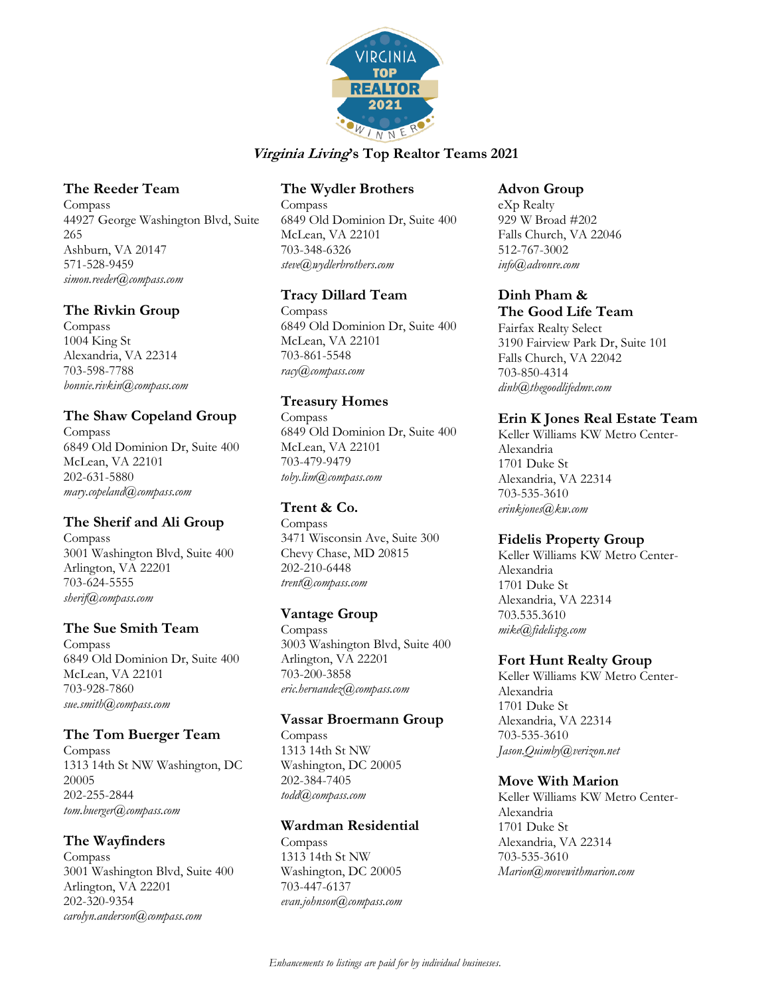

### **The Reeder Team**

Compass 44927 George Washington Blvd, Suite 265 Ashburn, VA 20147 571-528-9459 *simon.reeder@compass.com*

### **The Rivkin Group**

Compass 1004 King St Alexandria, VA 22314 703-598-7788 *bonnie.rivkin@compass.com*

## **The Shaw Copeland Group**

Compass 6849 Old Dominion Dr, Suite 400 McLean, VA 22101 202-631-5880 *mary.copeland@compass.com*

## **The Sherif and Ali Group**

Compass 3001 Washington Blvd, Suite 400 Arlington, VA 22201 703-624-5555 *sherif@compass.com*

#### **The Sue Smith Team**

Compass 6849 Old Dominion Dr, Suite 400 McLean, VA 22101 703-928-7860 *sue.smith@compass.com*

#### **The Tom Buerger Team**

Compass 1313 14th St NW Washington, DC 20005 202-255-2844 *tom.buerger@compass.com*

## **The Wayfinders**

Compass 3001 Washington Blvd, Suite 400 Arlington, VA 22201 202-320-9354 *carolyn.anderson@compass.com*

## **The Wydler Brothers**

Compass 6849 Old Dominion Dr, Suite 400 McLean, VA 22101 703-348-6326 *steve@wydlerbrothers.com*

### **Tracy Dillard Team**

Compass 6849 Old Dominion Dr, Suite 400 McLean, VA 22101 703-861-5548 *racy@compass.com*

# **Treasury Homes**

Compass 6849 Old Dominion Dr, Suite 400 McLean, VA 22101 703-479-9479 *toby.lim@compass.com*

## **Trent & Co.**

Compass 3471 Wisconsin Ave, Suite 300 Chevy Chase, MD 20815 202-210-6448 *trent@compass.com*

## **Vantage Group**

Compass 3003 Washington Blvd, Suite 400 Arlington, VA 22201 703-200-3858 *eric.hernandez@compass.com*

#### **Vassar Broermann Group**

Compass 1313 14th St NW Washington, DC 20005 202-384-7405 *todd@compass.com*

## **Wardman Residential**

Compass 1313 14th St NW Washington, DC 20005 703-447-6137 *evan.johnson@compass.com*

#### **Advon Group**

eXp Realty 929 W Broad #202 Falls Church, VA 22046 512-767-3002 *info@advonre.com*

# **Dinh Pham &**

#### **The Good Life Team**

Fairfax Realty Select 3190 Fairview Park Dr, Suite 101 Falls Church, VA 22042 703-850-4314 *dinh@thegoodlifedmv.com*

# **Erin K Jones Real Estate Team**

Keller Williams KW Metro Center-Alexandria 1701 Duke St Alexandria, VA 22314 703-535-3610 *erinkjones@kw.com*

#### **Fidelis Property Group**

Keller Williams KW Metro Center-Alexandria 1701 Duke St Alexandria, VA 22314 703.535.3610 *mike@fidelispg.com*

## **Fort Hunt Realty Group**

Keller Williams KW Metro Center-Alexandria 1701 Duke St Alexandria, VA 22314 703-535-3610 *Jason.Quimby@verizon.net*

#### **Move With Marion**

Keller Williams KW Metro Center-Alexandria 1701 Duke St Alexandria, VA 22314 703-535-3610 *Marion@movewithmarion.com*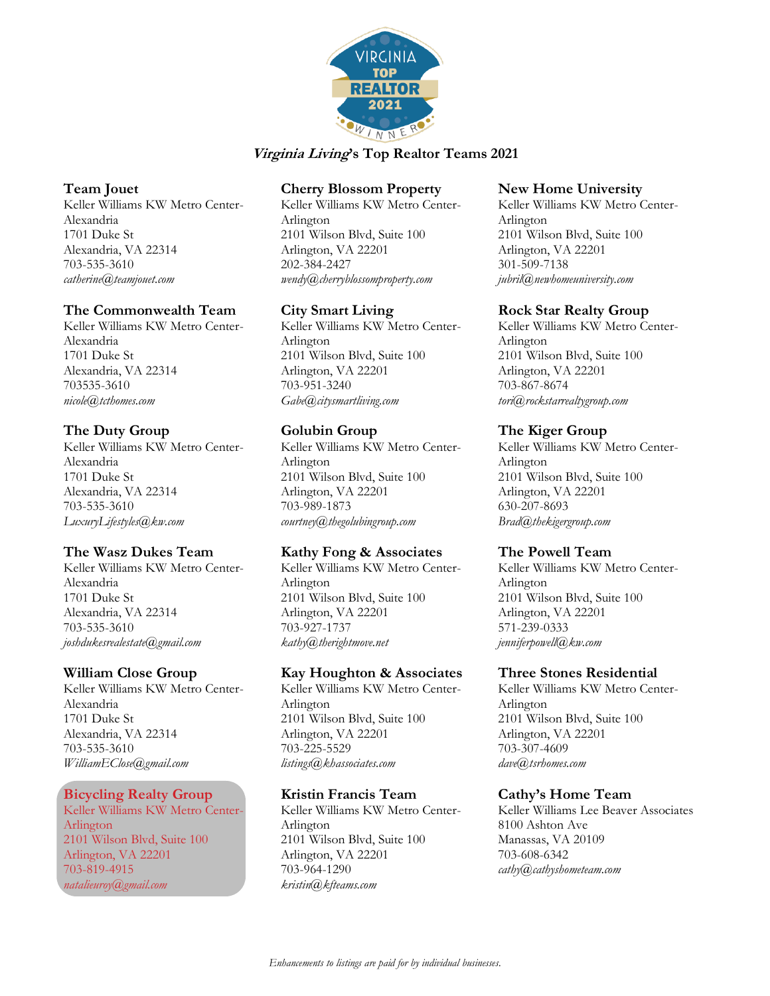

## **Team Jouet**

Keller Williams KW Metro Center-Alexandria 1701 Duke St Alexandria, VA 22314 703-535-3610 *catherine@teamjouet.com*

## **The Commonwealth Team**

Keller Williams KW Metro Center-Alexandria 1701 Duke St Alexandria, VA 22314 703535-3610 *nicole@tcthomes.com*

# **The Duty Group**

Keller Williams KW Metro Center-Alexandria 1701 Duke St Alexandria, VA 22314 703-535-3610 *LuxuryLifestyles@kw.com*

# **The Wasz Dukes Team**

Keller Williams KW Metro Center-Alexandria 1701 Duke St Alexandria, VA 22314 703-535-3610 *joshdukesrealestate@gmail.com*

## **William Close Group**

Keller Williams KW Metro Center-Alexandria 1701 Duke St Alexandria, VA 22314 703-535-3610 *WilliamEClose@gmail.com*

## **Bicycling Realty Group**

Keller Williams KW Metro Center-Arlington 2101 Wilson Blvd, Suite 100 Arlington, VA 22201 703-819-4915 *natalieuroy@gmail.com*

# **Cherry Blossom Property**

Keller Williams KW Metro Center-Arlington 2101 Wilson Blvd, Suite 100 Arlington, VA 22201 202-384-2427 *wendy@cherryblossomproperty.com*

# **City Smart Living**

Keller Williams KW Metro Center-Arlington 2101 Wilson Blvd, Suite 100 Arlington, VA 22201 703-951-3240 *Gabe@citysmartliving.com*

# **Golubin Group**

Keller Williams KW Metro Center-Arlington 2101 Wilson Blvd, Suite 100 Arlington, VA 22201 703-989-1873 *courtney@thegolubingroup.com*

## **Kathy Fong & Associates**

Keller Williams KW Metro Center-Arlington 2101 Wilson Blvd, Suite 100 Arlington, VA 22201 703-927-1737 *kathy@therightmove.net*

## **Kay Houghton & Associates**

Keller Williams KW Metro Center-Arlington 2101 Wilson Blvd, Suite 100 Arlington, VA 22201 703-225-5529 *listings@khassociates.com*

## **Kristin Francis Team**

Keller Williams KW Metro Center-Arlington 2101 Wilson Blvd, Suite 100 Arlington, VA 22201 703-964-1290 *kristin@kfteams.com*

### **New Home University**

Keller Williams KW Metro Center-Arlington 2101 Wilson Blvd, Suite 100 Arlington, VA 22201 301-509-7138 *jubril@newhomeuniversity.com*

## **Rock Star Realty Group**

Keller Williams KW Metro Center-Arlington 2101 Wilson Blvd, Suite 100 Arlington, VA 22201 703-867-8674 *tori@rockstarrealtygroup.com*

# **The Kiger Group**

Keller Williams KW Metro Center-Arlington 2101 Wilson Blvd, Suite 100 Arlington, VA 22201 630-207-8693 *Brad@thekigergroup.com*

## **The Powell Team**

Keller Williams KW Metro Center-Arlington 2101 Wilson Blvd, Suite 100 Arlington, VA 22201 571-239-0333 *jenniferpowell@kw.com*

## **Three Stones Residential**

Keller Williams KW Metro Center-Arlington 2101 Wilson Blvd, Suite 100 Arlington, VA 22201 703-307-4609 *dave@tsrhomes.com*

## **Cathy's Home Team**

Keller Williams Lee Beaver Associates 8100 Ashton Ave Manassas, VA 20109 703-608-6342 *cathy@cathyshometeam.com*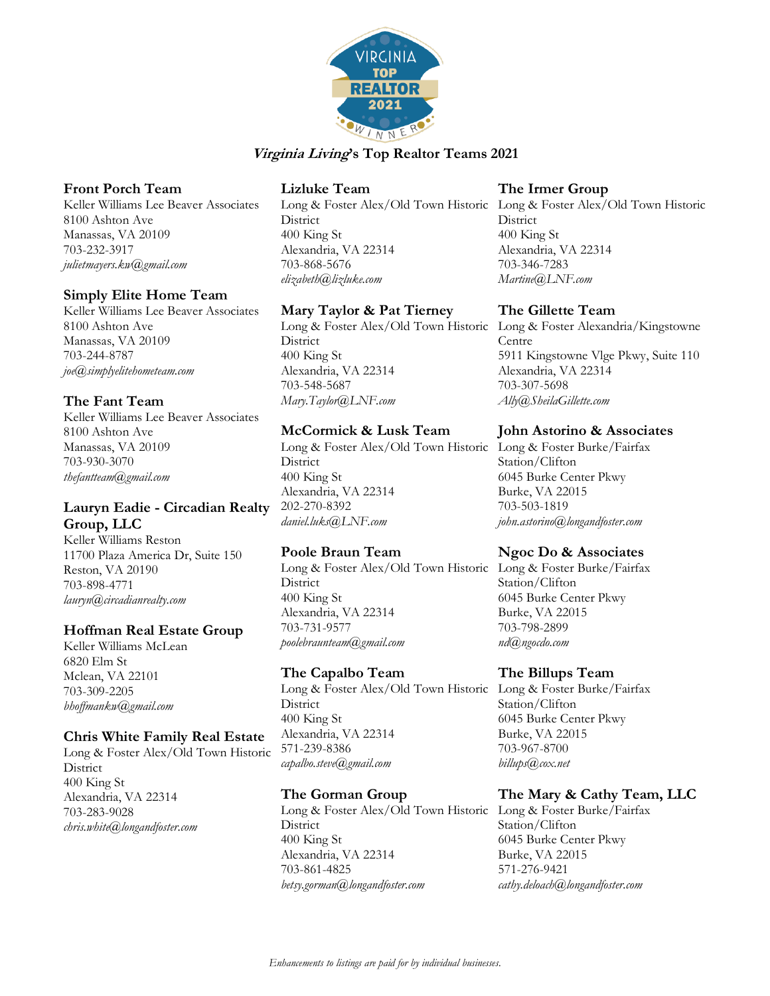

## **Front Porch Team**

Keller Williams Lee Beaver Associates 8100 Ashton Ave Manassas, VA 20109 703-232-3917 *julietmayers.kw@gmail.com*

### **Simply Elite Home Team**

Keller Williams Lee Beaver Associates 8100 Ashton Ave Manassas, VA 20109 703-244-8787 *joe@simplyelitehometeam.com*

## **The Fant Team**

Keller Williams Lee Beaver Associates 8100 Ashton Ave Manassas, VA 20109 703-930-3070 *thefantteam@gmail.com*

## **Lauryn Eadie - Circadian Realty Group, LLC**

Keller Williams Reston 11700 Plaza America Dr, Suite 150 Reston, VA 20190 703-898-4771 *lauryn@circadianrealty.com* 

#### **Hoffman Real Estate Group**

Keller Williams McLean 6820 Elm St Mclean, VA 22101 703-309-2205 *bhoffmankw@gmail.com*

#### **Chris White Family Real Estate**

Long & Foster Alex/Old Town Historic **District** 400 King St Alexandria, VA 22314 703-283-9028 *chris.white@longandfoster.com*

## **Lizluke Team**

Long & Foster Alex/Old Town Historic Long & Foster Alex/Old Town Historic **District** 400 King St Alexandria, VA 22314 703-868-5676 *elizabeth@lizluke.com*

## **Mary Taylor & Pat Tierney**

Long & Foster Alex/Old Town Historic Long & Foster Alexandria/Kingstowne **District** 400 King St Alexandria, VA 22314 703-548-5687 *Mary.Taylor@LNF.com*

### **McCormick & Lusk Team**

Long & Foster Alex/Old Town Historic Long & Foster Burke/Fairfax **District** 400 King St Alexandria, VA 22314 202-270-8392 *daniel.luks@LNF.com*

## **Poole Braun Team**

Long & Foster Alex/Old Town Historic Long & Foster Burke/Fairfax **District** 400 King St Alexandria, VA 22314 703-731-9577 *poolebraunteam@gmail.com*

#### **The Capalbo Team**

Long & Foster Alex/Old Town Historic Long & Foster Burke/Fairfax **District** 400 King St Alexandria, VA 22314 571-239-8386 *capalbo.steve@gmail.com*

#### **The Gorman Group**

Long & Foster Alex/Old Town Historic Long & Foster Burke/Fairfax **District** 400 King St Alexandria, VA 22314 703-861-4825 *betsy.gorman@longandfoster.com*

#### **The Irmer Group**

**District** 400 King St Alexandria, VA 22314 703-346-7283 *Martine@LNF.com*

#### **The Gillette Team**

Centre 5911 Kingstowne Vlge Pkwy, Suite 110 Alexandria, VA 22314 703-307-5698 *Ally@SheilaGillette.com*

#### **John Astorino & Associates**

Station/Clifton 6045 Burke Center Pkwy Burke, VA 22015 703-503-1819 *john.astorino@longandfoster.com*

## **Ngoc Do & Associates**

Station/Clifton 6045 Burke Center Pkwy Burke, VA 22015 703-798-2899 *nd@ngocdo.com*

#### **The Billups Team**

Station/Clifton 6045 Burke Center Pkwy Burke, VA 22015 703-967-8700 *billups@cox.net*

# **The Mary & Cathy Team, LLC**

Station/Clifton 6045 Burke Center Pkwy Burke, VA 22015 571-276-9421 *cathy.deloach@longandfoster.com*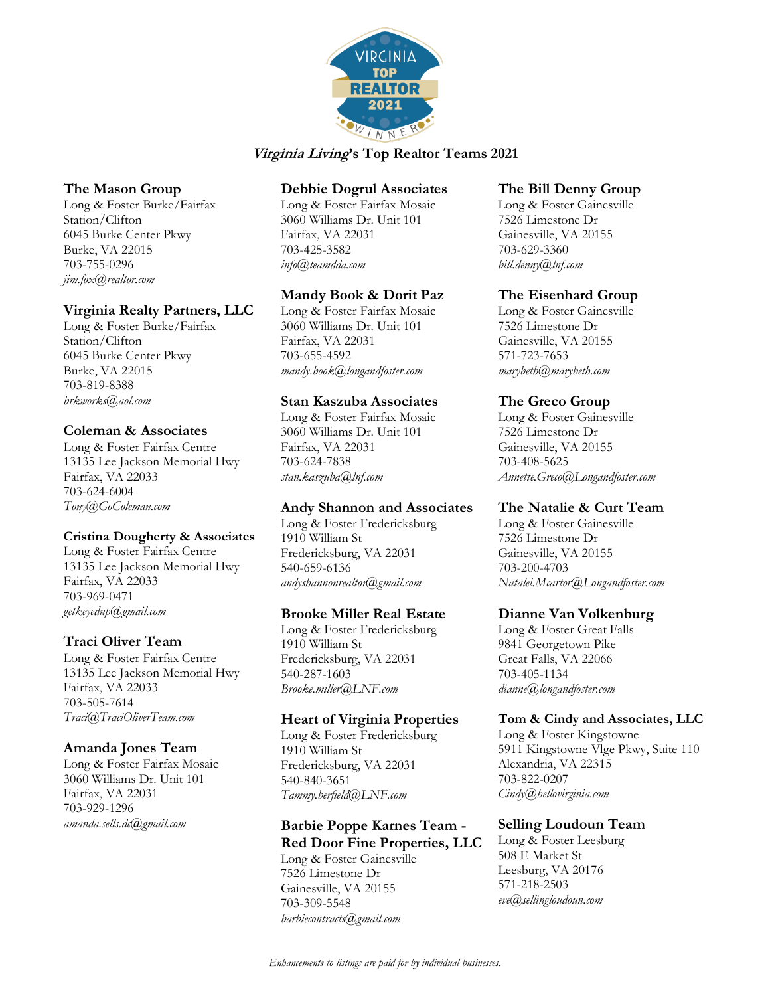

## **The Mason Group**

Long & Foster Burke/Fairfax Station/Clifton 6045 Burke Center Pkwy Burke, VA 22015 703-755-0296 *jim.fox@realtor.com*

### **Virginia Realty Partners, LLC**

Long & Foster Burke/Fairfax Station/Clifton 6045 Burke Center Pkwy Burke, VA 22015 703-819-8388 *brkworks@aol.com*

### **Coleman & Associates**

Long & Foster Fairfax Centre 13135 Lee Jackson Memorial Hwy Fairfax, VA 22033 703-624-6004 *Tony@GoColeman.com*

#### **Cristina Dougherty & Associates**

Long & Foster Fairfax Centre 13135 Lee Jackson Memorial Hwy Fairfax, VA 22033 703-969-0471 *getkeyedup@gmail.com*

## **Traci Oliver Team**

Long & Foster Fairfax Centre 13135 Lee Jackson Memorial Hwy Fairfax, VA 22033 703-505-7614 *Traci@TraciOliverTeam.com*

#### **Amanda Jones Team**

Long & Foster Fairfax Mosaic 3060 Williams Dr. Unit 101 Fairfax, VA 22031 703-929-1296 *amanda.sells.dc@gmail.com*

## **Debbie Dogrul Associates**

Long & Foster Fairfax Mosaic 3060 Williams Dr. Unit 101 Fairfax, VA 22031 703-425-3582 *info@teamdda.com*

### **Mandy Book & Dorit Paz**

Long & Foster Fairfax Mosaic 3060 Williams Dr. Unit 101 Fairfax, VA 22031 703-655-4592 *mandy.book@longandfoster.com*

### **Stan Kaszuba Associates**

Long & Foster Fairfax Mosaic 3060 Williams Dr. Unit 101 Fairfax, VA 22031 703-624-7838 *stan.kaszuba@lnf.com*

## **Andy Shannon and Associates**

Long & Foster Fredericksburg 1910 William St Fredericksburg, VA 22031 540-659-6136 *andyshannonrealtor@gmail.com*

#### **Brooke Miller Real Estate**

Long & Foster Fredericksburg 1910 William St Fredericksburg, VA 22031 540-287-1603 *Brooke.miller@LNF.com*

#### **Heart of Virginia Properties**

Long & Foster Fredericksburg 1910 William St Fredericksburg, VA 22031 540-840-3651 *Tammy.berfield@LNF.com*

## **Barbie Poppe Karnes Team - Red Door Fine Properties, LLC**

Long & Foster Gainesville 7526 Limestone Dr Gainesville, VA 20155 703-309-5548 *barbiecontracts@gmail.com*

#### **The Bill Denny Group**

Long & Foster Gainesville 7526 Limestone Dr Gainesville, VA 20155 703-629-3360 *bill.denny@lnf.com*

## **The Eisenhard Group**

Long & Foster Gainesville 7526 Limestone Dr Gainesville, VA 20155 571-723-7653 *marybeth@marybeth.com*

# **The Greco Group**

Long & Foster Gainesville 7526 Limestone Dr Gainesville, VA 20155 703-408-5625 *Annette.Greco@Longandfoster.com*

## **The Natalie & Curt Team**

Long & Foster Gainesville 7526 Limestone Dr Gainesville, VA 20155 703-200-4703 *Natalei.Mcartor@Longandfoster.com*

#### **Dianne Van Volkenburg**

Long & Foster Great Falls 9841 Georgetown Pike Great Falls, VA 22066 703-405-1134 *dianne@longandfoster.com*

#### **Tom & Cindy and Associates, LLC**

Long & Foster Kingstowne 5911 Kingstowne Vlge Pkwy, Suite 110 Alexandria, VA 22315 703-822-0207 *Cindy@hellovirginia.com*

## **Selling Loudoun Team**

Long & Foster Leesburg 508 E Market St Leesburg, VA 20176 571-218-2503 *eve@sellingloudoun.com*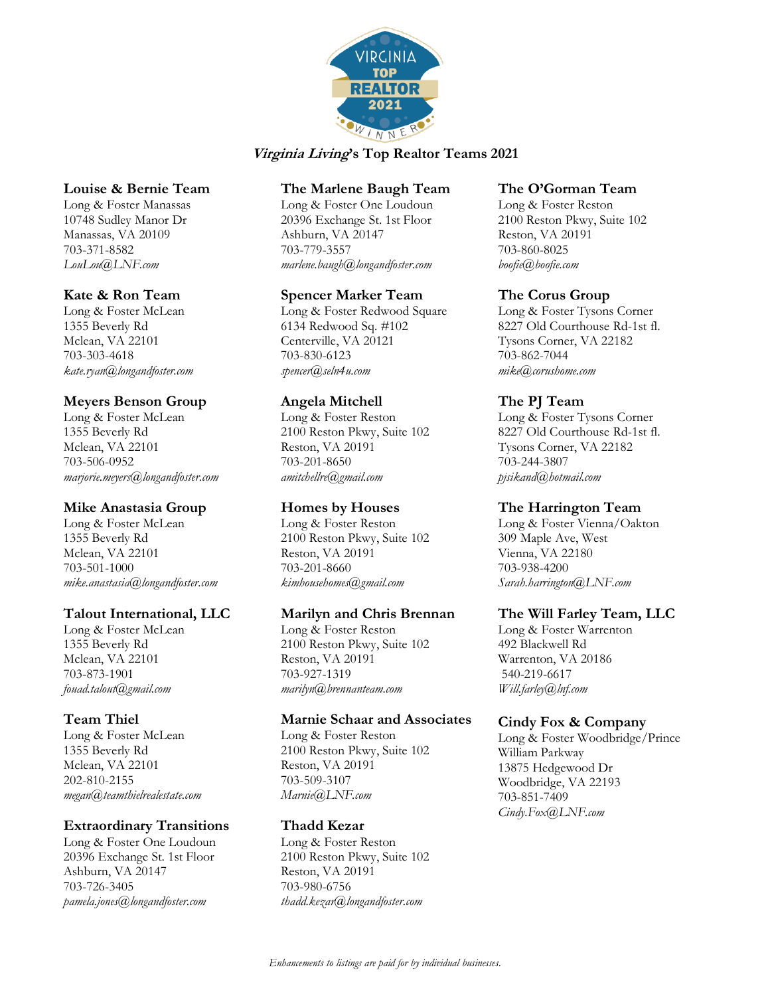

### **Louise & Bernie Team**

Long & Foster Manassas 10748 Sudley Manor Dr Manassas, VA 20109 703-371-8582 *LouLou@LNF.com*

#### **Kate & Ron Team**

Long & Foster McLean 1355 Beverly Rd Mclean, VA 22101 703-303-4618 *kate.ryan@longandfoster.com*

# **Meyers Benson Group**

Long & Foster McLean 1355 Beverly Rd Mclean, VA 22101 703-506-0952 *marjorie.meyers@longandfoster.com*

## **Mike Anastasia Group**

Long & Foster McLean 1355 Beverly Rd Mclean, VA 22101 703-501-1000 *mike.anastasia@longandfoster.com*

#### **Talout International, LLC**

Long & Foster McLean 1355 Beverly Rd Mclean, VA 22101 703-873-1901 *fouad.talout@gmail.com*

## **Team Thiel**

Long & Foster McLean 1355 Beverly Rd Mclean, VA 22101 202-810-2155 *megan@teamthielrealestate.com*

## **Extraordinary Transitions**

Long & Foster One Loudoun 20396 Exchange St. 1st Floor Ashburn, VA 20147 703-726-3405 *pamela.jones@longandfoster.com* 

### **The Marlene Baugh Team**

Long & Foster One Loudoun 20396 Exchange St. 1st Floor Ashburn, VA 20147 703-779-3557 *marlene.baugh@longandfoster.com* 

### **Spencer Marker Team**

Long & Foster Redwood Square 6134 Redwood Sq. #102 Centerville, VA 20121 703-830-6123 *spencer@seln4u.com*

## **Angela Mitchell**

Long & Foster Reston 2100 Reston Pkwy, Suite 102 Reston, VA 20191 703-201-8650 *amitchellre@gmail.com*

## **Homes by Houses**

Long & Foster Reston 2100 Reston Pkwy, Suite 102 Reston, VA 20191 703-201-8660 *kimhousehomes@gmail.com*

#### **Marilyn and Chris Brennan**

Long & Foster Reston 2100 Reston Pkwy, Suite 102 Reston, VA 20191 703-927-1319 *marilyn@brennanteam.com*

#### **Marnie Schaar and Associates**

Long & Foster Reston 2100 Reston Pkwy, Suite 102 Reston, VA 20191 703-509-3107 *Marnie@LNF.com*

## **Thadd Kezar**

Long & Foster Reston 2100 Reston Pkwy, Suite 102 Reston, VA 20191 703-980-6756 *thadd.kezar@longandfoster.com*

#### **The O'Gorman Team**

Long & Foster Reston 2100 Reston Pkwy, Suite 102 Reston, VA 20191 703-860-8025 *boofie@boofie.com*

### **The Corus Group**

Long & Foster Tysons Corner 8227 Old Courthouse Rd-1st fl. Tysons Corner, VA 22182 703-862-7044 *mike@corushome.com*

# **The PJ Team**

Long & Foster Tysons Corner 8227 Old Courthouse Rd-1st fl. Tysons Corner, VA 22182 703-244-3807 *pjsikand@hotmail.com*

## **The Harrington Team**

Long & Foster Vienna/Oakton 309 Maple Ave, West Vienna, VA 22180 703-938-4200 *Sarah.harrington@LNF.com*

#### **The Will Farley Team, LLC**

Long & Foster Warrenton 492 Blackwell Rd Warrenton, VA 20186 540-219-6617 *Will.farley@lnf.com*

## **Cindy Fox & Company**

Long & Foster Woodbridge/Prince William Parkway 13875 Hedgewood Dr Woodbridge, VA 22193 703-851-7409 *Cindy.Fox@LNF.com*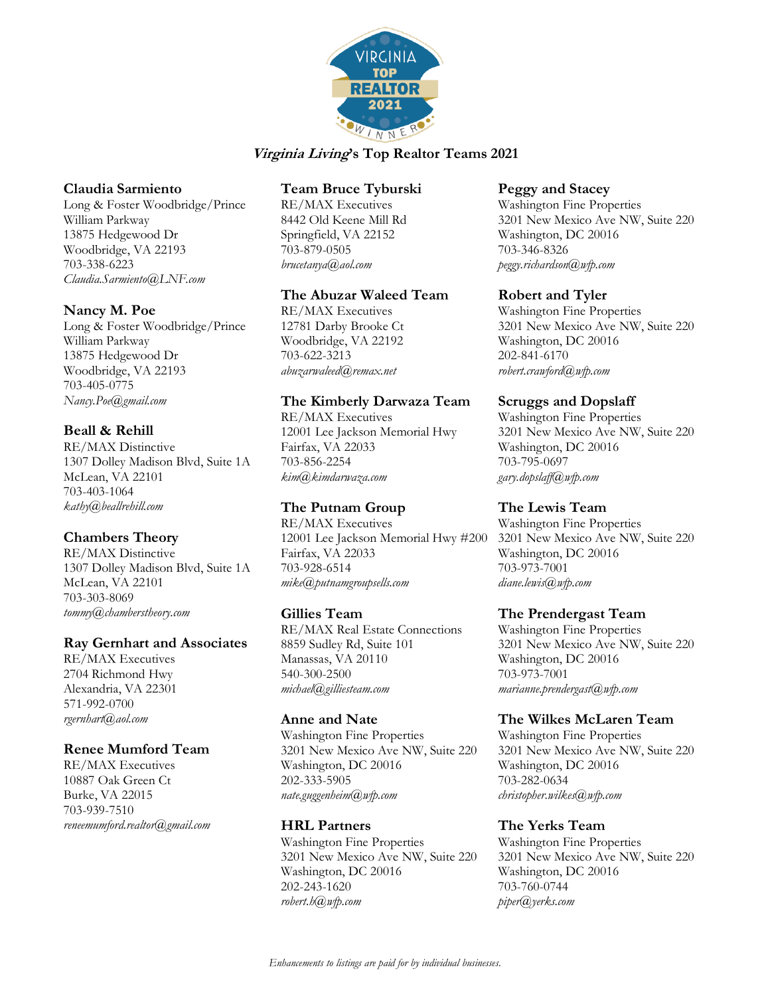

### **Claudia Sarmiento**

Long & Foster Woodbridge/Prince William Parkway 13875 Hedgewood Dr Woodbridge, VA 22193 703-338-6223 *Claudia.Sarmiento@LNF.com*

#### **Nancy M. Poe**

Long & Foster Woodbridge/Prince William Parkway 13875 Hedgewood Dr Woodbridge, VA 22193 703-405-0775 *Nancy.Poe@gmail.com*

## **Beall & Rehill**

RE/MAX Distinctive 1307 Dolley Madison Blvd, Suite 1A McLean, VA 22101 703-403-1064 *kathy@beallrehill.com*

## **Chambers Theory**

RE/MAX Distinctive 1307 Dolley Madison Blvd, Suite 1A McLean, VA 22101 703-303-8069 *tommy@chamberstheory.com*

## **Ray Gernhart and Associates**

RE/MAX Executives 2704 Richmond Hwy Alexandria, VA 22301 571-992-0700 *rgernhart@aol.com*

## **Renee Mumford Team**

RE/MAX Executives 10887 Oak Green Ct Burke, VA 22015 703-939-7510 *reneemumford.realtor@gmail.com*

## **Team Bruce Tyburski**

RE/MAX Executives 8442 Old Keene Mill Rd Springfield, VA 22152 703-879-0505 *[brucetanya@aol.com](mailto:brucetanya@aol.com)*

### **The Abuzar Waleed Team**

RE/MAX Executives 12781 Darby Brooke Ct Woodbridge, VA 22192 703-622-3213 *abuzarwaleed@remax.net*

## **The Kimberly Darwaza Team**

RE/MAX Executives 12001 Lee Jackson Memorial Hwy Fairfax, VA 22033 703-856-2254 *kim@kimdarwaza.com*

# **The Putnam Group**

RE/MAX Executives 12001 Lee Jackson Memorial Hwy #200 Fairfax, VA 22033 703-928-6514 *mike@putnamgroupsells.com*

## **Gillies Team**

RE/MAX Real Estate Connections 8859 Sudley Rd, Suite 101 Manassas, VA 20110 540-300-2500 *michael@gilliesteam.com*

#### **Anne and Nate**

Washington Fine Properties 3201 New Mexico Ave NW, Suite 220 Washington, DC 20016 202-333-5905 *nate.guggenheim@wfp.com*

## **HRL Partners**

Washington Fine Properties 3201 New Mexico Ave NW, Suite 220 Washington, DC 20016 202-243-1620 *robert.h@wfp.com*

#### **Peggy and Stacey**

Washington Fine Properties 3201 New Mexico Ave NW, Suite 220 Washington, DC 20016 703-346-8326 *peggy.richardson@wfp.com*

### **Robert and Tyler**

Washington Fine Properties 3201 New Mexico Ave NW, Suite 220 Washington, DC 20016 202-841-6170 *robert.crawford@wfp.com*

## **Scruggs and Dopslaff**

Washington Fine Properties 3201 New Mexico Ave NW, Suite 220 Washington, DC 20016 703-795-0697 *gary.dopslaff@wfp.com*

## **The Lewis Team**

Washington Fine Properties 3201 New Mexico Ave NW, Suite 220 Washington, DC 20016 703-973-7001 *diane.lewis@wfp.com*

#### **The Prendergast Team**

Washington Fine Properties 3201 New Mexico Ave NW, Suite 220 Washington, DC 20016 703-973-7001 *marianne.prendergast@wfp.com*

## **The Wilkes McLaren Team**

Washington Fine Properties 3201 New Mexico Ave NW, Suite 220 Washington, DC 20016 703-282-0634 *christopher.wilkes@wfp.com*

## **The Yerks Team**

Washington Fine Properties 3201 New Mexico Ave NW, Suite 220 Washington, DC 20016 703-760-0744 *piper@yerks.com*